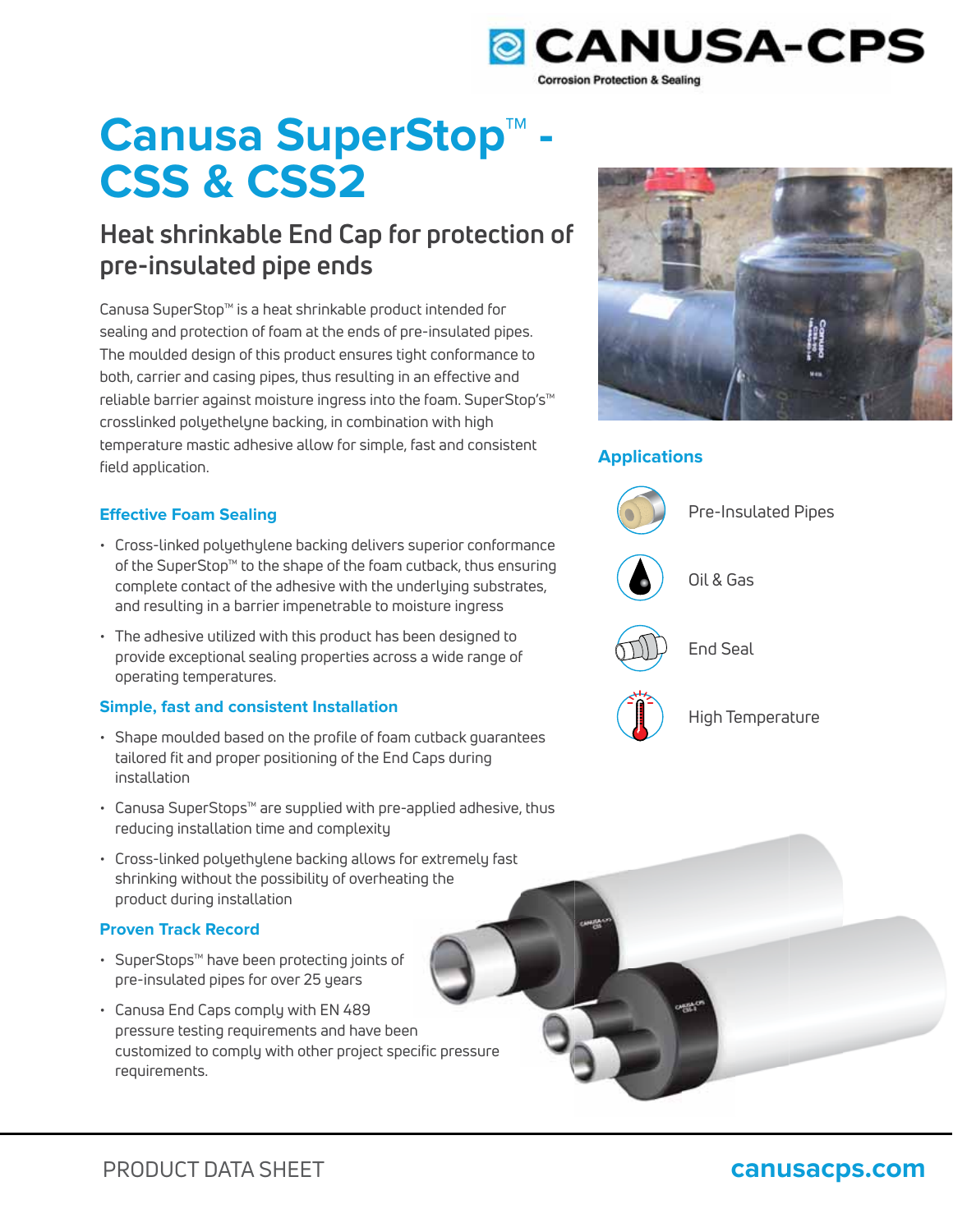

# **Canusa SuperStop™ - CSS & CSS2**

# **Heat shrinkable End Cap for protection of pre-insulated pipe ends**

Canusa SuperStop™ is a heat shrinkable product intended for sealing and protection of foam at the ends of pre-insulated pipes. The moulded design of this product ensures tight conformance to both, carrier and casing pipes, thus resulting in an effective and reliable barrier against moisture ingress into the foam. SuperStop's™ crosslinked polyethelyne backing, in combination with high temperature mastic adhesive allow for simple, fast and consistent field application.

# **Effective Foam Sealing**

- Cross-linked polyethylene backing delivers superior conformance of the SuperStop™ to the shape of the foam cutback, thus ensuring complete contact of the adhesive with the underlying substrates, and resulting in a barrier impenetrable to moisture ingress
- The adhesive utilized with this product has been designed to provide exceptional sealing properties across a wide range of operating temperatures.

# **Simple, fast and consistent Installation**

- Shape moulded based on the profile of foam cutback guarantees tailored fit and proper positioning of the End Caps during installation
- Canusa SuperStops™ are supplied with pre-applied adhesive, thus reducing installation time and complexity
- Cross-linked polyethylene backing allows for extremely fast shrinking without the possibility of overheating the product during installation

# **Proven Track Record**

- SuperStops™ have been protecting joints of pre-insulated pipes for over 25 years
- Canusa End Caps comply with EN 489 pressure testing requirements and have been customized to comply with other project specific pressure cific requirements. ing<br>|<br>n



# **Applications**